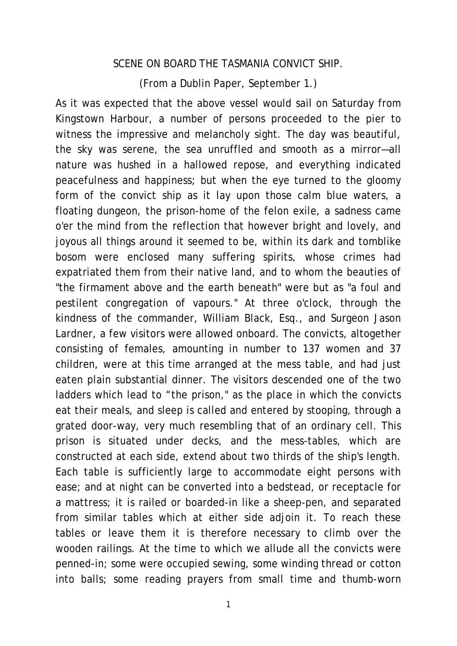## SCENE ON BOARD THE TASMANIA CONVICT SHIP.

(From a Dublin Paper, September 1.)

As it was expected that the above vessel would sail on Saturday from Kingstown Harbour, a number of persons proceeded to the pier to witness the impressive and melancholy sight. The day was beautiful, the sky was serene, the sea unruffled and smooth as a mirror—all nature was hushed in a hallowed repose, and everything indicated peacefulness and happiness; but when the eye turned to the gloomy form of the convict ship as it lay upon those calm blue waters, a floating dungeon, the prison-home of the felon exile, a sadness came o'er the mind from the reflection that however bright and lovely, and joyous all things around it seemed to be, within its dark and tomblike bosom were enclosed many suffering spirits, whose crimes had expatriated them from their native land, and to whom the beauties of "the firmament above and the earth beneath" were but as "a foul and pestilent congregation of vapours." At three o'clock, through the kindness of the commander, William Black, Esq., and Surgeon Jason Lardner, a few visitors were allowed onboard. The convicts, altogether consisting of females, amounting in number to 137 women and 37 children, were at this time arranged at the mess table, and had just eaten plain substantial dinner. The visitors descended one of the two ladders which lead to "the prison," as the place in which the convicts eat their meals, and sleep is called and entered by stooping, through a grated door-way, very much resembling that of an ordinary cell. This prison is situated under decks, and the mess-tables, which are constructed at each side, extend about two thirds of the ship's length. Each table is sufficiently large to accommodate eight persons with ease; and at night can be converted into a bedstead, or receptacle for a mattress; it is railed or boarded-in like a sheep-pen, and separated from similar tables which at either side adjoin it. To reach these tables or leave them it is therefore necessary to climb over the wooden railings. At the time to which we allude all the convicts were penned-in; some were occupied sewing, some winding thread or cotton into balls; some reading prayers from small time and thumb-worn

1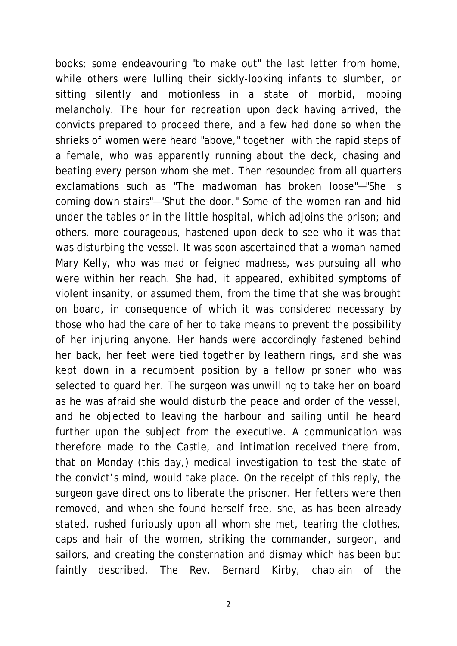books; some endeavouring "to make out" the last letter from home, while others were lulling their sickly-looking infants to slumber, or sitting silently and motionless in a state of morbid, moping melancholy. The hour for recreation upon deck having arrived, the convicts prepared to proceed there, and a few had done so when the shrieks of women were heard "above," together with the rapid steps of a female, who was apparently running about the deck, chasing and beating every person whom she met. Then resounded from all quarters exclamations such as "The madwoman has broken loose"—"She is coming down stairs"—"Shut the door." Some of the women ran and hid under the tables or in the little hospital, which adjoins the prison; and others, more courageous, hastened upon deck to see who it was that was disturbing the vessel. It was soon ascertained that a woman named Mary Kelly, who was mad or feigned madness, was pursuing all who were within her reach. She had, it appeared, exhibited symptoms of violent insanity, or assumed them, from the time that she was brought on board, in consequence of which it was considered necessary by those who had the care of her to take means to prevent the possibility of her injuring anyone. Her hands were accordingly fastened behind her back, her feet were tied together by leathern rings, and she was kept down in a recumbent position by a fellow prisoner who was selected to guard her. The surgeon was unwilling to take her on board as he was afraid she would disturb the peace and order of the vessel, and he objected to leaving the harbour and sailing until he heard further upon the subject from the executive. A communication was therefore made to the Castle, and intimation received there from, that on Monday (this day,) medical investigation to test the state of the convict's mind, would take place. On the receipt of this reply, the surgeon gave directions to liberate the prisoner. Her fetters were then removed, and when she found herself free, she, as has been already stated, rushed furiously upon all whom she met, tearing the clothes, caps and hair of the women, striking the commander, surgeon, and sailors, and creating the consternation and dismay which has been but faintly described. The Rev. Bernard Kirby, chaplain of the

2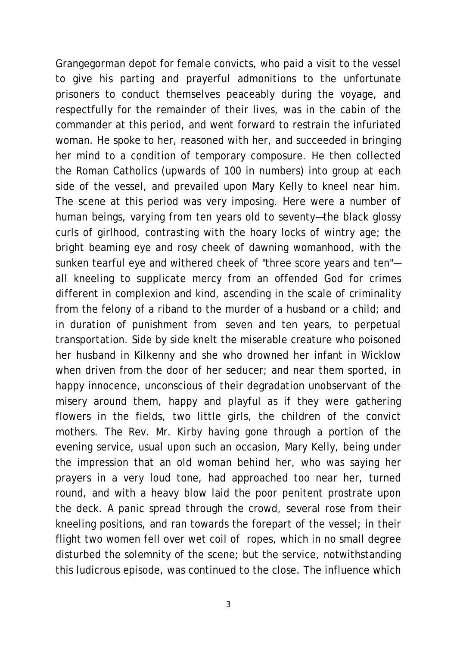Grangegorman depot for female convicts, who paid a visit to the vessel to give his parting and prayerful admonitions to the unfortunate prisoners to conduct themselves peaceably during the voyage, and respectfully for the remainder of their lives, was in the cabin of the commander at this period, and went forward to restrain the infuriated woman. He spoke to her, reasoned with her, and succeeded in bringing her mind to a condition of temporary composure. He then collected the Roman Catholics (upwards of 100 in numbers) into group at each side of the vessel, and prevailed upon Mary Kelly to kneel near him. The scene at this period was very imposing. Here were a number of human beings, varying from ten years old to seventy—the black glossy curls of girlhood, contrasting with the hoary locks of wintry age; the bright beaming eye and rosy cheek of dawning womanhood, with the sunken tearful eye and withered cheek of "three score years and ten" all kneeling to supplicate mercy from an offended God for crimes different in complexion and kind, ascending in the scale of criminality from the felony of a riband to the murder of a husband or a child; and in duration of punishment from seven and ten years, to perpetual transportation. Side by side knelt the miserable creature who poisoned her husband in Kilkenny and she who drowned her infant in Wicklow when driven from the door of her seducer; and near them sported, in happy innocence, unconscious of their degradation unobservant of the misery around them, happy and playful as if they were gathering flowers in the fields, two little girls, the children of the convict mothers. The Rev. Mr. Kirby having gone through a portion of the evening service, usual upon such an occasion, Mary Kelly, being under the impression that an old woman behind her, who was saying her prayers in a very loud tone, had approached too near her, turned round, and with a heavy blow laid the poor penitent prostrate upon the deck. A panic spread through the crowd, several rose from their kneeling positions, and ran towards the forepart of the vessel; in their flight two women fell over wet coil of ropes, which in no small degree disturbed the solemnity of the scene; but the service, notwithstanding this ludicrous episode, was continued to the close. The influence which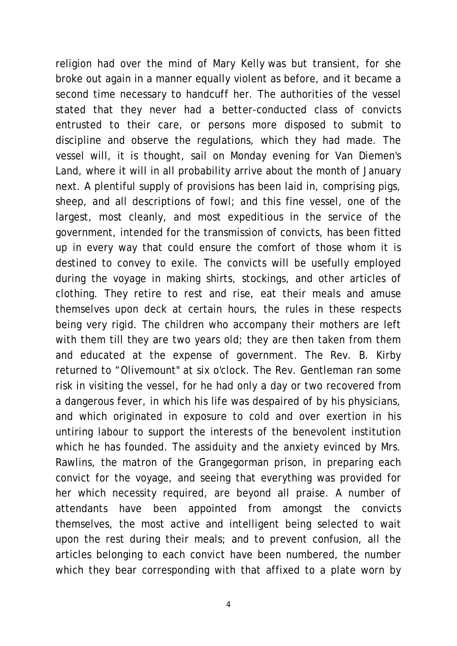religion had over the mind of Mary Kelly was but transient, for she broke out again in a manner equally violent as before, and it became a second time necessary to handcuff her. The authorities of the vessel stated that they never had a better-conducted class of convicts entrusted to their care, or persons more disposed to submit to discipline and observe the regulations, which they had made. The vessel will, it is thought, sail on Monday evening for Van Diemen's Land, where it will in all probability arrive about the month of January next. A plentiful supply of provisions has been laid in, comprising pigs, sheep, and all descriptions of fowl; and this fine vessel, one of the largest, most cleanly, and most expeditious in the service of the government, intended for the transmission of convicts, has been fitted up in every way that could ensure the comfort of those whom it is destined to convey to exile. The convicts will be usefully employed during the voyage in making shirts, stockings, and other articles of clothing. They retire to rest and rise, eat their meals and amuse themselves upon deck at certain hours, the rules in these respects being very rigid. The children who accompany their mothers are left with them till they are two years old; they are then taken from them and educated at the expense of government. The Rev. B. Kirby returned to "Olivemount" at six o'clock. The Rev. Gentleman ran some risk in visiting the vessel, for he had only a day or two recovered from a dangerous fever, in which his life was despaired of by his physicians, and which originated in exposure to cold and over exertion in his untiring labour to support the interests of the benevolent institution which he has founded. The assiduity and the anxiety evinced by Mrs. Rawlins, the matron of the Grangegorman prison, in preparing each convict for the voyage, and seeing that everything was provided for her which necessity required, are beyond all praise. A number of attendants have been appointed from amongst the convicts themselves, the most active and intelligent being selected to wait upon the rest during their meals; and to prevent confusion, all the articles belonging to each convict have been numbered, the number which they bear corresponding with that affixed to a plate worn by

4